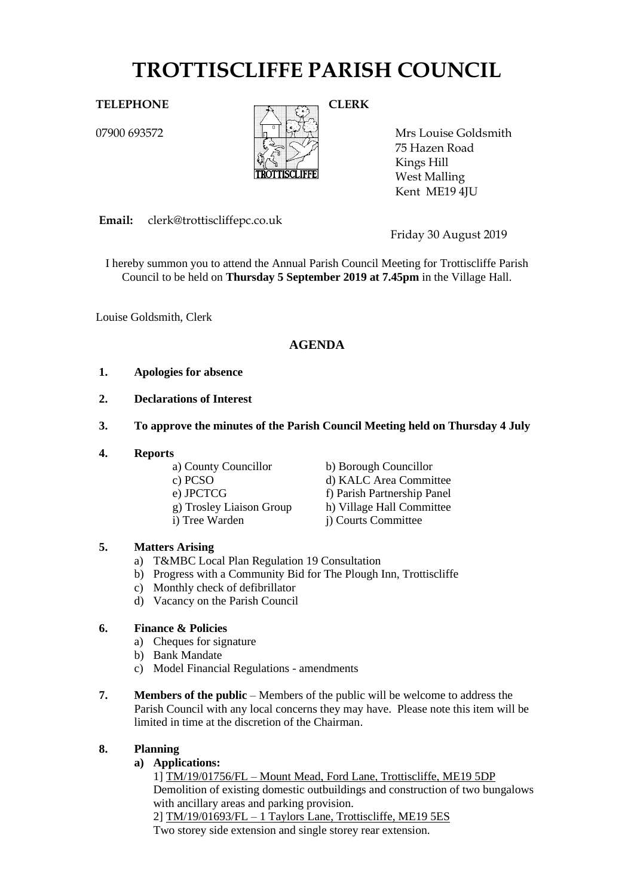# **TROTTISCLIFFE PARISH COUNCIL**

07900 693572



Mrs Louise Goldsmith 75 Hazen Road Kings Hill West Malling Kent ME19 4JU

**Email:** clerk@trottiscliffepc.co.uk

Friday 30 August 2019

I hereby summon you to attend the Annual Parish Council Meeting for Trottiscliffe Parish Council to be held on **Thursday 5 September 2019 at 7.45pm** in the Village Hall.

Louise Goldsmith, Clerk

# **AGENDA**

# **1. Apologies for absence**

- **2. Declarations of Interest**
- **3. To approve the minutes of the Parish Council Meeting held on Thursday 4 July**
- **4. Reports**

a) County Councillor b) Borough Councillor

- 
- 
- 
- 

- c) PCSO d) KALC Area Committee
- e) JPCTCG<br>
g) Troslev Liaison Group<br>
h) Village Hall Committee h) Village Hall Committee
- i) Tree Warden j) Courts Committee

# **5. Matters Arising**

- a) T&MBC Local Plan Regulation 19 Consultation
- b) Progress with a Community Bid for The Plough Inn, Trottiscliffe
- c) Monthly check of defibrillator
- d) Vacancy on the Parish Council

# **6. Finance & Policies**

- a) Cheques for signature
- b) Bank Mandate
- c) Model Financial Regulations amendments
- **7. Members of the public** Members of the public will be welcome to address the Parish Council with any local concerns they may have. Please note this item will be limited in time at the discretion of the Chairman.

# **8. Planning**

# **a) Applications:**

1] TM/19/01756/FL – Mount Mead, Ford Lane, Trottiscliffe, ME19 5DP Demolition of existing domestic outbuildings and construction of two bungalows with ancillary areas and parking provision. 2] TM/19/01693/FL – 1 Taylors Lane, Trottiscliffe, ME19 5ES

Two storey side extension and single storey rear extension.